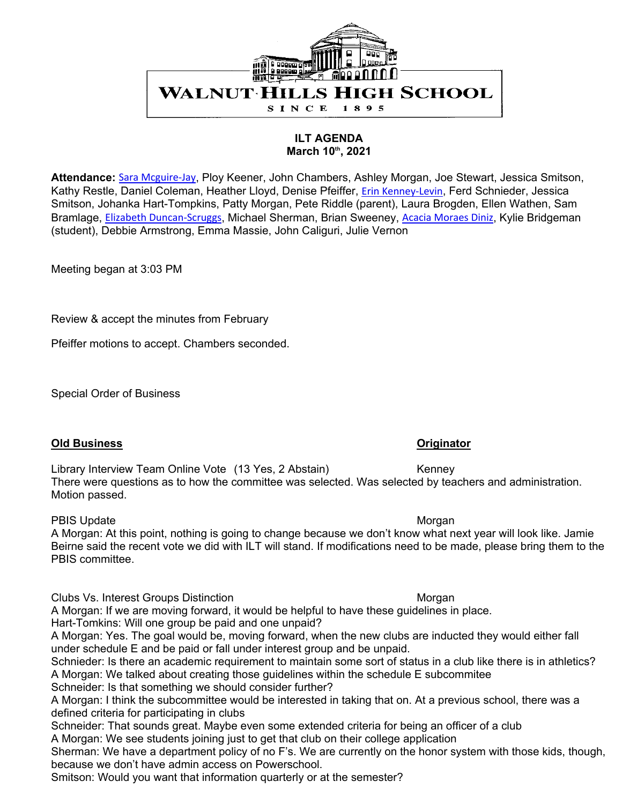

### **ILT AGENDA March 10th, 2021**

**Attendance:** Sara Mcguire-Jay, Ploy Keener, John Chambers, Ashley Morgan, Joe Stewart, Jessica Smitson, Kathy Restle, Daniel Coleman, Heather Lloyd, Denise Pfeiffer, Erin Kenney-Levin, Ferd Schnieder, Jessica Smitson, Johanka Hart-Tompkins, Patty Morgan, Pete Riddle (parent), Laura Brogden, Ellen Wathen, Sam Bramlage, Elizabeth Duncan-Scruggs, Michael Sherman, Brian Sweeney, Acacia Moraes Diniz, Kylie Bridgeman (student), Debbie Armstrong, Emma Massie, John Caliguri, Julie Vernon

Meeting began at 3:03 PM

Review & accept the minutes from February

Pfeiffer motions to accept. Chambers seconded.

Special Order of Business

### **Old Business Originator**

Library Interview Team Online Vote (13 Yes, 2 Abstain) Kenney There were questions as to how the committee was selected. Was selected by teachers and administration. Motion passed.

### PBIS Update Morgan Number of the Morgan Number of the Morgan Number of the Morgan Number of the Morgan Number of the Morgan Number of the Morgan Number of the Morgan Number of the Morgan Number of the Morgan Number of the

A Morgan: At this point, nothing is going to change because we don't know what next year will look like. Jamie Beirne said the recent vote we did with ILT will stand. If modifications need to be made, please bring them to the PBIS committee.

Clubs Vs. Interest Groups Distinction Morgan Morgan Morgan

A Morgan: If we are moving forward, it would be helpful to have these guidelines in place. Hart-Tomkins: Will one group be paid and one unpaid?

A Morgan: Yes. The goal would be, moving forward, when the new clubs are inducted they would either fall under schedule E and be paid or fall under interest group and be unpaid.

Schnieder: Is there an academic requirement to maintain some sort of status in a club like there is in athletics? A Morgan: We talked about creating those guidelines within the schedule E subcommitee

Schneider: Is that something we should consider further?

A Morgan: I think the subcommittee would be interested in taking that on. At a previous school, there was a defined criteria for participating in clubs

Schneider: That sounds great. Maybe even some extended criteria for being an officer of a club A Morgan: We see students joining just to get that club on their college application

Sherman: We have a department policy of no F's. We are currently on the honor system with those kids, though, because we don't have admin access on Powerschool.

Smitson: Would you want that information quarterly or at the semester?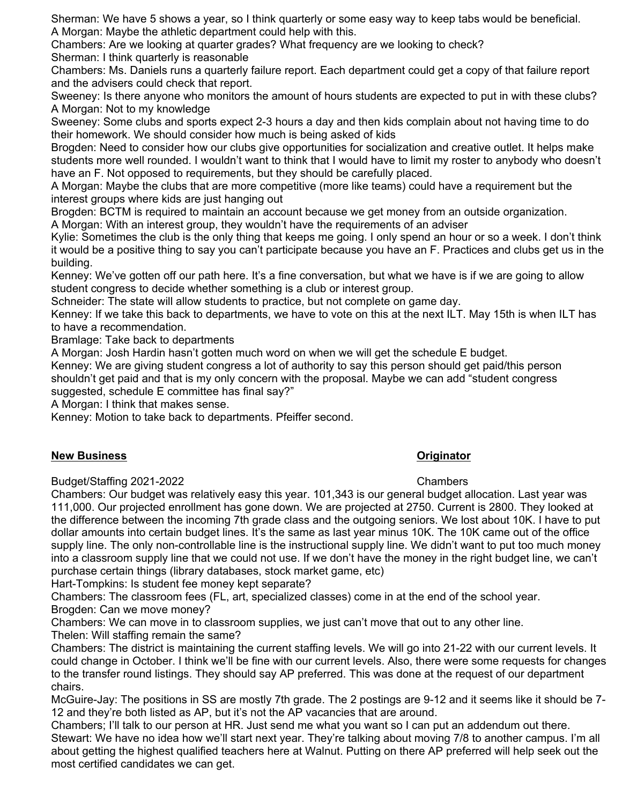Sherman: We have 5 shows a year, so I think quarterly or some easy way to keep tabs would be beneficial. A Morgan: Maybe the athletic department could help with this.

Chambers: Are we looking at quarter grades? What frequency are we looking to check? Sherman: I think quarterly is reasonable

Chambers: Ms. Daniels runs a quarterly failure report. Each department could get a copy of that failure report and the advisers could check that report.

Sweeney: Is there anyone who monitors the amount of hours students are expected to put in with these clubs? A Morgan: Not to my knowledge

Sweeney: Some clubs and sports expect 2-3 hours a day and then kids complain about not having time to do their homework. We should consider how much is being asked of kids

Brogden: Need to consider how our clubs give opportunities for socialization and creative outlet. It helps make students more well rounded. I wouldn't want to think that I would have to limit my roster to anybody who doesn't have an F. Not opposed to requirements, but they should be carefully placed.

A Morgan: Maybe the clubs that are more competitive (more like teams) could have a requirement but the interest groups where kids are just hanging out

Brogden: BCTM is required to maintain an account because we get money from an outside organization.

A Morgan: With an interest group, they wouldn't have the requirements of an adviser

Kylie: Sometimes the club is the only thing that keeps me going. I only spend an hour or so a week. I don't think it would be a positive thing to say you can't participate because you have an F. Practices and clubs get us in the building.

Kenney: We've gotten off our path here. It's a fine conversation, but what we have is if we are going to allow student congress to decide whether something is a club or interest group.

Schneider: The state will allow students to practice, but not complete on game day.

Kenney: If we take this back to departments, we have to vote on this at the next ILT. May 15th is when ILT has to have a recommendation.

Bramlage: Take back to departments

A Morgan: Josh Hardin hasn't gotten much word on when we will get the schedule E budget.

Kenney: We are giving student congress a lot of authority to say this person should get paid/this person shouldn't get paid and that is my only concern with the proposal. Maybe we can add "student congress suggested, schedule E committee has final say?"

A Morgan: I think that makes sense.

Kenney: Motion to take back to departments. Pfeiffer second.

# **New Business Originator**

## Budget/Staffing 2021-2022 Chambers

Chambers: Our budget was relatively easy this year. 101,343 is our general budget allocation. Last year was 111,000. Our projected enrollment has gone down. We are projected at 2750. Current is 2800. They looked at the difference between the incoming 7th grade class and the outgoing seniors. We lost about 10K. I have to put dollar amounts into certain budget lines. It's the same as last year minus 10K. The 10K came out of the office supply line. The only non-controllable line is the instructional supply line. We didn't want to put too much money into a classroom supply line that we could not use. If we don't have the money in the right budget line, we can't purchase certain things (library databases, stock market game, etc)

Hart-Tompkins: Is student fee money kept separate?

Chambers: The classroom fees (FL, art, specialized classes) come in at the end of the school year. Brogden: Can we move money?

Chambers: We can move in to classroom supplies, we just can't move that out to any other line. Thelen: Will staffing remain the same?

Chambers: The district is maintaining the current staffing levels. We will go into 21-22 with our current levels. It could change in October. I think we'll be fine with our current levels. Also, there were some requests for changes to the transfer round listings. They should say AP preferred. This was done at the request of our department chairs.

McGuire-Jay: The positions in SS are mostly 7th grade. The 2 postings are 9-12 and it seems like it should be 7- 12 and they're both listed as AP, but it's not the AP vacancies that are around.

Chambers; I'll talk to our person at HR. Just send me what you want so I can put an addendum out there. Stewart: We have no idea how we'll start next year. They're talking about moving 7/8 to another campus. I'm all about getting the highest qualified teachers here at Walnut. Putting on there AP preferred will help seek out the most certified candidates we can get.